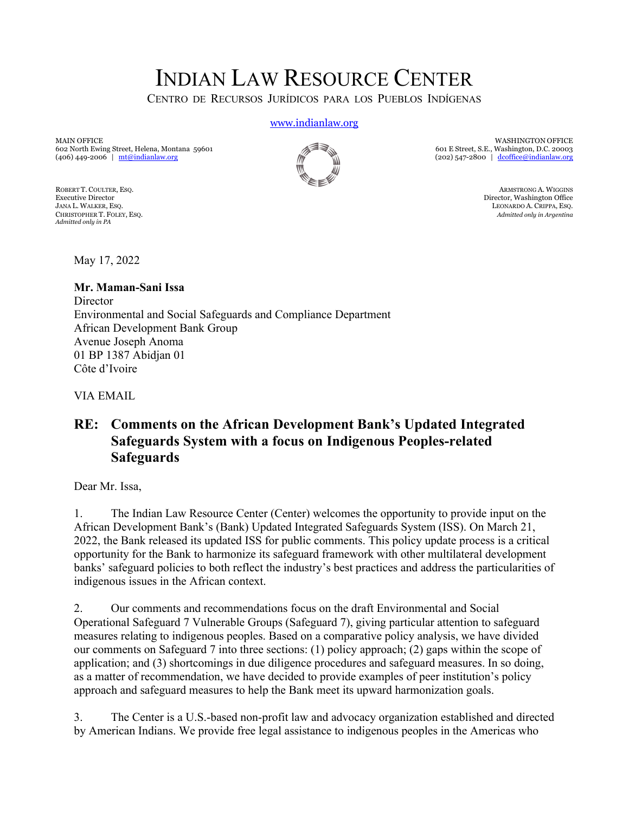# INDIAN LAW RESOURCE CENTER

CENTRO DE RECURSOS JURÍDICOS PARA LOS PUEBLOS INDÍGENAS

www.indianlaw.org

MAIN OFFICE 602 North Ewing Street, Helena, Montana 59601 (406) 449-2006 | mt@indianlaw.org

*Admitted only in PA*

WASHINGTON OFFICE 601 E Street, S.E., Washington, D.C. 20003 (202) 547-2800 | dcoffice@indianlaw.org

ROBERT T. COULTER, ESQ. ARMSTRONG A. WIGGINS (NET) THE SECOND RESERVE TO A REAL PROPERTIES ON ARMSTRONG A. WIGGINS ARMSTRONG A. WIGGINS (NET) THE SECOND REAL PROPERTIES ON A REAL PROPERTY OF THE SECOND REAL PROPERTY OF THE Executive Director (Mashington Office Director (Mashington Office Director, Washington Office Director, Washington Office Director, Washington Office Director, Washington Office Director, Washington Office Director, Washin LEONARDO A. CRIPPA, ESQ. CHRISTOPHER T. FOLEY, ESQ. *Admitted only in Argentina*

May 17, 2022

**Mr. Maman-Sani Issa Director** Environmental and Social Safeguards and Compliance Department African Development Bank Group Avenue Joseph Anoma 01 BP 1387 Abidjan 01 Côte d'Ivoire

VIA EMAIL

### **RE: Comments on the African Development Bank's Updated Integrated Safeguards System with a focus on Indigenous Peoples-related Safeguards**

Dear Mr. Issa,

1. The Indian Law Resource Center (Center) welcomes the opportunity to provide input on the African Development Bank's (Bank) Updated Integrated Safeguards System (ISS). On March 21, 2022, the Bank released its updated ISS for public comments. This policy update process is a critical opportunity for the Bank to harmonize its safeguard framework with other multilateral development banks' safeguard policies to both reflect the industry's best practices and address the particularities of indigenous issues in the African context.

2. Our comments and recommendations focus on the draft Environmental and Social Operational Safeguard 7 Vulnerable Groups (Safeguard 7), giving particular attention to safeguard measures relating to indigenous peoples. Based on a comparative policy analysis, we have divided our comments on Safeguard 7 into three sections: (1) policy approach; (2) gaps within the scope of application; and (3) shortcomings in due diligence procedures and safeguard measures. In so doing, as a matter of recommendation, we have decided to provide examples of peer institution's policy approach and safeguard measures to help the Bank meet its upward harmonization goals.

3. The Center is a U.S.-based non-profit law and advocacy organization established and directed by American Indians. We provide free legal assistance to indigenous peoples in the Americas who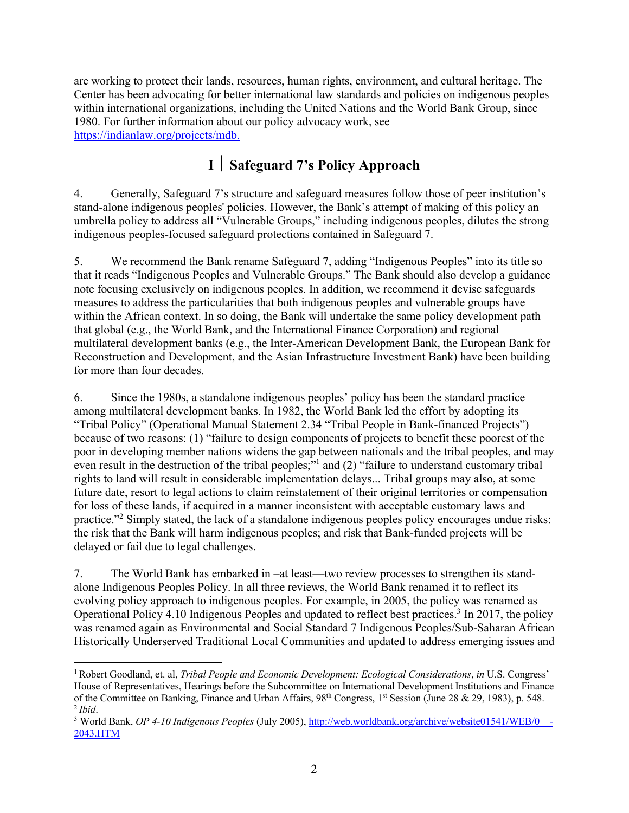are working to protect their lands, resources, human rights, environment, and cultural heritage. The Center has been advocating for better international law standards and policies on indigenous peoples within international organizations, including the United Nations and the World Bank Group, since 1980. For further information about our policy advocacy work, see https://indianlaw.org/projects/mdb.

## **I** ½ **Safeguard 7's Policy Approach**

4. Generally, Safeguard 7's structure and safeguard measures follow those of peer institution's stand-alone indigenous peoples' policies. However, the Bank's attempt of making of this policy an umbrella policy to address all "Vulnerable Groups," including indigenous peoples, dilutes the strong indigenous peoples-focused safeguard protections contained in Safeguard 7.

5. We recommend the Bank rename Safeguard 7, adding "Indigenous Peoples" into its title so that it reads "Indigenous Peoples and Vulnerable Groups." The Bank should also develop a guidance note focusing exclusively on indigenous peoples. In addition, we recommend it devise safeguards measures to address the particularities that both indigenous peoples and vulnerable groups have within the African context. In so doing, the Bank will undertake the same policy development path that global (e.g., the World Bank, and the International Finance Corporation) and regional multilateral development banks (e.g., the Inter-American Development Bank, the European Bank for Reconstruction and Development, and the Asian Infrastructure Investment Bank) have been building for more than four decades.

6. Since the 1980s, a standalone indigenous peoples' policy has been the standard practice among multilateral development banks. In 1982, the World Bank led the effort by adopting its "Tribal Policy" (Operational Manual Statement 2.34 "Tribal People in Bank-financed Projects") because of two reasons: (1) "failure to design components of projects to benefit these poorest of the poor in developing member nations widens the gap between nationals and the tribal peoples, and may even result in the destruction of the tribal peoples;"<sup>1</sup> and (2) "failure to understand customary tribal rights to land will result in considerable implementation delays... Tribal groups may also, at some future date, resort to legal actions to claim reinstatement of their original territories or compensation for loss of these lands, if acquired in a manner inconsistent with acceptable customary laws and practice."<sup>2</sup> Simply stated, the lack of a standalone indigenous peoples policy encourages undue risks: the risk that the Bank will harm indigenous peoples; and risk that Bank-funded projects will be delayed or fail due to legal challenges.

7. The World Bank has embarked in –at least—two review processes to strengthen its standalone Indigenous Peoples Policy. In all three reviews, the World Bank renamed it to reflect its evolving policy approach to indigenous peoples. For example, in 2005, the policy was renamed as Operational Policy 4.10 Indigenous Peoples and updated to reflect best practices.3 In 2017, the policy was renamed again as Environmental and Social Standard 7 Indigenous Peoples/Sub-Saharan African Historically Underserved Traditional Local Communities and updated to address emerging issues and

<sup>1</sup> Robert Goodland, et. al, *Tribal People and Economic Development: Ecological Considerations*, *in* U.S. Congress' House of Representatives, Hearings before the Subcommittee on International Development Institutions and Finance of the Committee on Banking, Finance and Urban Affairs, 98th Congress, 1st Session (June 28 & 29, 1983), p. 548.  $<sup>2</sup>$  *Ibid.*</sup>

<sup>3</sup> World Bank, *OP 4-10 Indigenous Peoples* (July 2005), http://web.worldbank.org/archive/website01541/WEB/0\_\_- 2043.HTM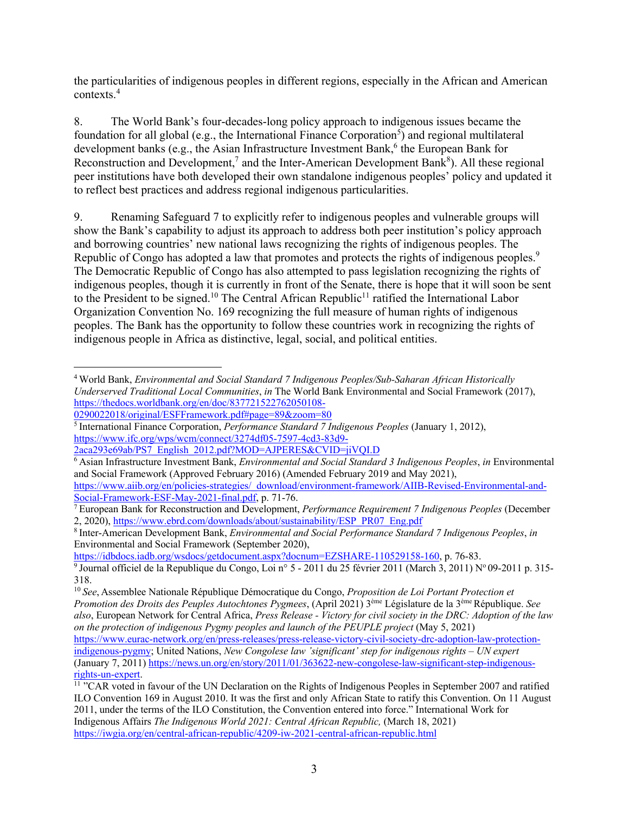the particularities of indigenous peoples in different regions, especially in the African and American contexts.<sup>4</sup>

8. The World Bank's four-decades-long policy approach to indigenous issues became the foundation for all global (e.g., the International Finance Corporation<sup>5</sup>) and regional multilateral development banks (e.g., the Asian Infrastructure Investment Bank, $<sup>6</sup>$  the European Bank for</sup> Reconstruction and Development,<sup>7</sup> and the Inter-American Development Bank<sup>8</sup>). All these regional peer institutions have both developed their own standalone indigenous peoples' policy and updated it to reflect best practices and address regional indigenous particularities.

9. Renaming Safeguard 7 to explicitly refer to indigenous peoples and vulnerable groups will show the Bank's capability to adjust its approach to address both peer institution's policy approach and borrowing countries' new national laws recognizing the rights of indigenous peoples. The Republic of Congo has adopted a law that promotes and protects the rights of indigenous peoples.<sup>9</sup> The Democratic Republic of Congo has also attempted to pass legislation recognizing the rights of indigenous peoples, though it is currently in front of the Senate, there is hope that it will soon be sent to the President to be signed.<sup>10</sup> The Central African Republic<sup>11</sup> ratified the International Labor Organization Convention No. 169 recognizing the full measure of human rights of indigenous peoples. The Bank has the opportunity to follow these countries work in recognizing the rights of indigenous people in Africa as distinctive, legal, social, and political entities.

https://idbdocs.iadb.org/wsdocs/getdocument.aspx?docnum=EZSHARE-110529158-160, p. 76-83.

<sup>4</sup> World Bank, *Environmental and Social Standard 7 Indigenous Peoples/Sub-Saharan African Historically Underserved Traditional Local Communities*, *in* The World Bank Environmental and Social Framework (2017), https://thedocs.worldbank.org/en/doc/837721522762050108-

<sup>0290022018/</sup>original/ESFFramework.pdf#page=89&zoom=80

<sup>5</sup> International Finance Corporation, *Performance Standard 7 Indigenous Peoples* (January 1, 2012), https://www.ifc.org/wps/wcm/connect/3274df05-7597-4cd3-83d9-

<sup>2</sup>aca293e69ab/PS7\_English\_2012.pdf?MOD=AJPERES&CVID=jiVQI.D

<sup>6</sup> Asian Infrastructure Investment Bank, *Environmental and Social Standard 3 Indigenous Peoples*, *in* Environmental and Social Framework (Approved February 2016) (Amended February 2019 and May 2021),

https://www.aiib.org/en/policies-strategies/\_download/environment-framework/AIIB-Revised-Environmental-and-Social-Framework-ESF-May-2021-final.pdf, p. 71-76.

<sup>&</sup>lt;sup>7</sup> European Bank for Reconstruction and Development, *Performance Requirement 7 Indigenous Peoples* (December 2, 2020), https://www.ebrd.com/downloads/about/sustainability/ESP\_PR07\_Eng.pdf

<sup>8</sup> Inter-American Development Bank, *Environmental and Social Performance Standard 7 Indigenous Peoples*, *in* Environmental and Social Framework (September 2020),

<sup>&</sup>lt;sup>9</sup> Journal officiel de la Republique du Congo, Loi n° 5 - 2011 du 25 février 2011 (March 3, 2011) N° 09-2011 p. 315-318.

<sup>10</sup> *See*, Assemblee Nationale République Démocratique du Congo, *Proposition de Loi Portant Protection et Promotion des Droits des Peuples Autochtones Pygmees*, (April 2021) 3ème Législature de la 3ème République. *See also*, European Network for Central Africa, *Press Release - Victory for civil society in the DRC: Adoption of the law on the protection of indigenous Pygmy peoples and launch of the PEUPLE project* (May 5, 2021)

https://www.eurac-network.org/en/press-releases/press-release-victory-civil-society-drc-adoption-law-protectionindigenous-pygmy; United Nations, *New Congolese law 'significant' step for indigenous rights – UN expert* (January 7, 2011) https://news.un.org/en/story/2011/01/363622-new-congolese-law-significant-step-indigenousrights-un-expert. 11 "CAR voted in favour of the UN Declaration on the Rights of Indigenous Peoples in September 2007 and ratified

ILO Convention 169 in August 2010. It was the first and only African State to ratify this Convention. On 11 August 2011, under the terms of the ILO Constitution, the Convention entered into force." International Work for Indigenous Affairs *The Indigenous World 2021: Central African Republic,* (March 18, 2021) https://iwgia.org/en/central-african-republic/4209-iw-2021-central-african-republic.html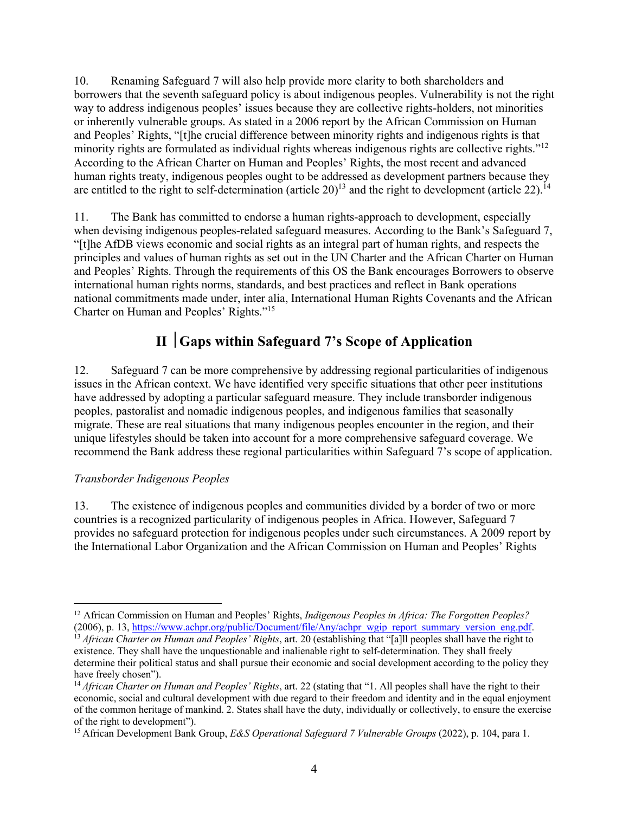10. Renaming Safeguard 7 will also help provide more clarity to both shareholders and borrowers that the seventh safeguard policy is about indigenous peoples. Vulnerability is not the right way to address indigenous peoples' issues because they are collective rights-holders, not minorities or inherently vulnerable groups. As stated in a 2006 report by the African Commission on Human and Peoples' Rights, "[t]he crucial difference between minority rights and indigenous rights is that minority rights are formulated as individual rights whereas indigenous rights are collective rights."<sup>12</sup> According to the African Charter on Human and Peoples' Rights, the most recent and advanced human rights treaty, indigenous peoples ought to be addressed as development partners because they are entitled to the right to self-determination (article 20)<sup>13</sup> and the right to development (article 22).<sup>14</sup>

11. The Bank has committed to endorse a human rights-approach to development, especially when devising indigenous peoples-related safeguard measures. According to the Bank's Safeguard 7, "[t]he AfDB views economic and social rights as an integral part of human rights, and respects the principles and values of human rights as set out in the UN Charter and the African Charter on Human and Peoples' Rights. Through the requirements of this OS the Bank encourages Borrowers to observe international human rights norms, standards, and best practices and reflect in Bank operations national commitments made under, inter alia, International Human Rights Covenants and the African Charter on Human and Peoples' Rights."15

## **II** ½**Gaps within Safeguard 7's Scope of Application**

12. Safeguard 7 can be more comprehensive by addressing regional particularities of indigenous issues in the African context. We have identified very specific situations that other peer institutions have addressed by adopting a particular safeguard measure. They include transborder indigenous peoples, pastoralist and nomadic indigenous peoples, and indigenous families that seasonally migrate. These are real situations that many indigenous peoples encounter in the region, and their unique lifestyles should be taken into account for a more comprehensive safeguard coverage. We recommend the Bank address these regional particularities within Safeguard 7's scope of application.

#### *Transborder Indigenous Peoples*

13. The existence of indigenous peoples and communities divided by a border of two or more countries is a recognized particularity of indigenous peoples in Africa. However, Safeguard 7 provides no safeguard protection for indigenous peoples under such circumstances. A 2009 report by the International Labor Organization and the African Commission on Human and Peoples' Rights

<sup>&</sup>lt;sup>12</sup> African Commission on Human and Peoples' Rights, *Indigenous Peoples in Africa: The Forgotten Peoples?*<br>(2006), p. 13, https://www.achpr.org/public/Document/file/Any/achpr wgip report summary version eng.pdf.

<sup>&</sup>lt;sup>13</sup> African Charter on Human and Peoples' Rights, art. 20 (establishing that "[a]ll peoples shall have the right to existence. They shall have the unquestionable and inalienable right to self-determination. They shall freely determine their political status and shall pursue their economic and social development according to the policy they have freely chosen").

<sup>&</sup>lt;sup>14</sup> *African Charter on Human and Peoples' Rights*, art. 22 (stating that "1. All peoples shall have the right to their economic, social and cultural development with due regard to their freedom and identity and in the equal enjoyment of the common heritage of mankind. 2. States shall have the duty, individually or collectively, to ensure the exercise of the right to development").

<sup>15</sup> African Development Bank Group, *E&S Operational Safeguard 7 Vulnerable Groups* (2022), p. 104, para 1.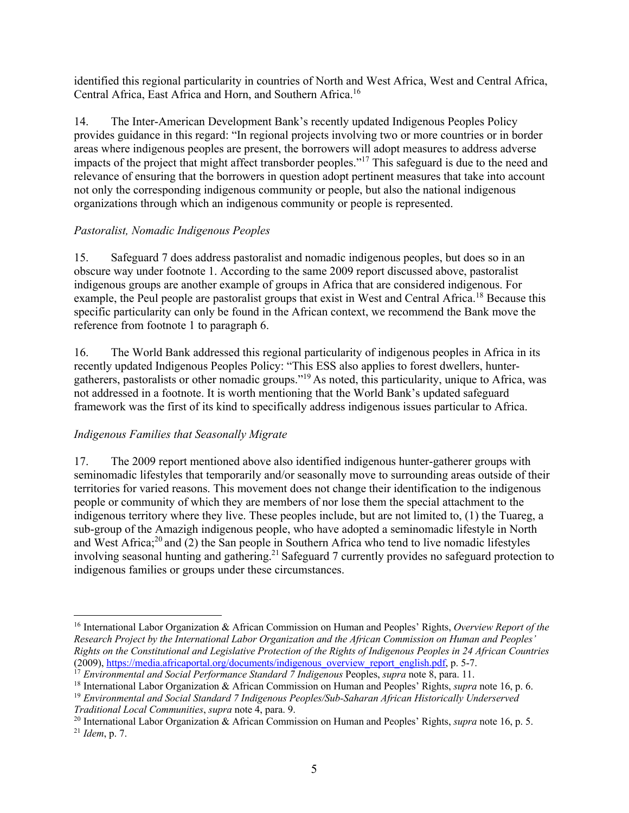identified this regional particularity in countries of North and West Africa, West and Central Africa, Central Africa, East Africa and Horn, and Southern Africa.<sup>16</sup>

14. The Inter-American Development Bank's recently updated Indigenous Peoples Policy provides guidance in this regard: "In regional projects involving two or more countries or in border areas where indigenous peoples are present, the borrowers will adopt measures to address adverse impacts of the project that might affect transborder peoples."<sup>17</sup> This safeguard is due to the need and relevance of ensuring that the borrowers in question adopt pertinent measures that take into account not only the corresponding indigenous community or people, but also the national indigenous organizations through which an indigenous community or people is represented.

#### *Pastoralist, Nomadic Indigenous Peoples*

15. Safeguard 7 does address pastoralist and nomadic indigenous peoples, but does so in an obscure way under footnote 1. According to the same 2009 report discussed above, pastoralist indigenous groups are another example of groups in Africa that are considered indigenous. For example, the Peul people are pastoralist groups that exist in West and Central Africa.<sup>18</sup> Because this specific particularity can only be found in the African context, we recommend the Bank move the reference from footnote 1 to paragraph 6.

16. The World Bank addressed this regional particularity of indigenous peoples in Africa in its recently updated Indigenous Peoples Policy: "This ESS also applies to forest dwellers, huntergatherers, pastoralists or other nomadic groups."19 As noted, this particularity, unique to Africa, was not addressed in a footnote. It is worth mentioning that the World Bank's updated safeguard framework was the first of its kind to specifically address indigenous issues particular to Africa.

#### *Indigenous Families that Seasonally Migrate*

17. The 2009 report mentioned above also identified indigenous hunter-gatherer groups with seminomadic lifestyles that temporarily and/or seasonally move to surrounding areas outside of their territories for varied reasons. This movement does not change their identification to the indigenous people or community of which they are members of nor lose them the special attachment to the indigenous territory where they live. These peoples include, but are not limited to, (1) the Tuareg, a sub-group of the Amazigh indigenous people, who have adopted a seminomadic lifestyle in North and West Africa; $^{20}$  and (2) the San people in Southern Africa who tend to live nomadic lifestyles involving seasonal hunting and gathering.<sup>21</sup> Safeguard 7 currently provides no safeguard protection to indigenous families or groups under these circumstances.

<sup>16</sup> International Labor Organization & African Commission on Human and Peoples' Rights, *Overview Report of the Research Project by the International Labor Organization and the African Commission on Human and Peoples' Rights on the Constitutional and Legislative Protection of the Rights of Indigenous Peoples in 24 African Countries* (2009), https://media.africaportal.org/documents/indigenous\_overview\_report\_english.pdf, p. 5-7.

<sup>17</sup> *Environmental and Social Performance Standard 7 Indigenous* Peoples, *supra* note 8, para. 11.

<sup>&</sup>lt;sup>18</sup> International Labor Organization & African Commission on Human and Peoples' Rights, *supra* note 16, p. 6.<br><sup>19</sup> Environmental and Social Standard 7 Indigenous Peoples/Sub-Saharan African Historically Underserved

*Traditional Local Communities*, *supra* note 4, para. 9.

<sup>20</sup> International Labor Organization & African Commission on Human and Peoples' Rights, *supra* note 16, p. 5. <sup>21</sup> *Idem*, p. 7.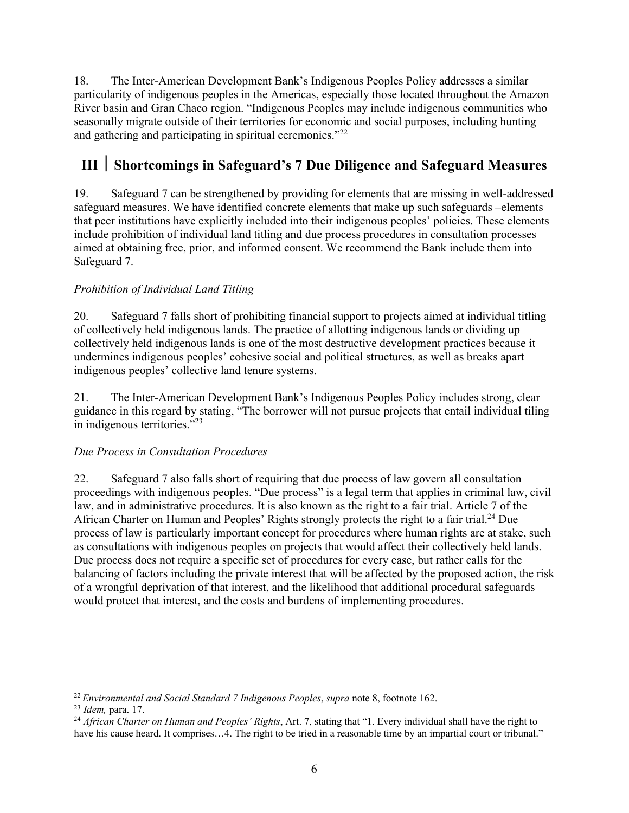18. The Inter-American Development Bank's Indigenous Peoples Policy addresses a similar particularity of indigenous peoples in the Americas, especially those located throughout the Amazon River basin and Gran Chaco region. "Indigenous Peoples may include indigenous communities who seasonally migrate outside of their territories for economic and social purposes, including hunting and gathering and participating in spiritual ceremonies."<sup>22</sup>

## **III** ½ **Shortcomings in Safeguard's 7 Due Diligence and Safeguard Measures**

19. Safeguard 7 can be strengthened by providing for elements that are missing in well-addressed safeguard measures. We have identified concrete elements that make up such safeguards –elements that peer institutions have explicitly included into their indigenous peoples' policies. These elements include prohibition of individual land titling and due process procedures in consultation processes aimed at obtaining free, prior, and informed consent. We recommend the Bank include them into Safeguard 7.

#### *Prohibition of Individual Land Titling*

20. Safeguard 7 falls short of prohibiting financial support to projects aimed at individual titling of collectively held indigenous lands. The practice of allotting indigenous lands or dividing up collectively held indigenous lands is one of the most destructive development practices because it undermines indigenous peoples' cohesive social and political structures, as well as breaks apart indigenous peoples' collective land tenure systems.

21. The Inter-American Development Bank's Indigenous Peoples Policy includes strong, clear guidance in this regard by stating, "The borrower will not pursue projects that entail individual tiling in indigenous territories."<sup>23</sup>

#### *Due Process in Consultation Procedures*

22. Safeguard 7 also falls short of requiring that due process of law govern all consultation proceedings with indigenous peoples. "Due process" is a legal term that applies in criminal law, civil law, and in administrative procedures. It is also known as the right to a fair trial. Article 7 of the African Charter on Human and Peoples' Rights strongly protects the right to a fair trial.<sup>24</sup> Due process of law is particularly important concept for procedures where human rights are at stake, such as consultations with indigenous peoples on projects that would affect their collectively held lands. Due process does not require a specific set of procedures for every case, but rather calls for the balancing of factors including the private interest that will be affected by the proposed action, the risk of a wrongful deprivation of that interest, and the likelihood that additional procedural safeguards would protect that interest, and the costs and burdens of implementing procedures.

<sup>22</sup> *Environmental and Social Standard 7 Indigenous Peoples*, *supra* note 8, footnote 162.

<sup>23</sup> *Idem,* para. 17.

<sup>24</sup> *African Charter on Human and Peoples' Rights*, Art. 7, stating that "1. Every individual shall have the right to have his cause heard. It comprises...4. The right to be tried in a reasonable time by an impartial court or tribunal."